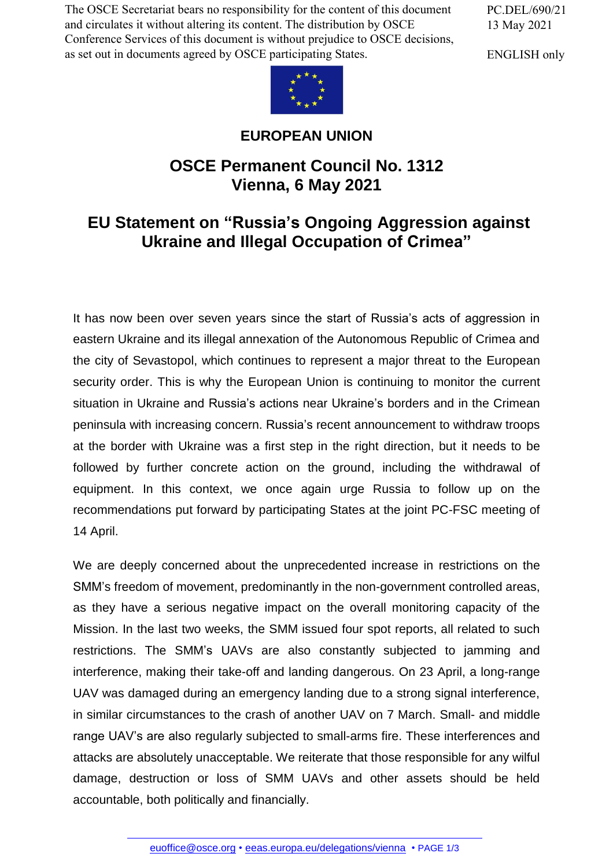The OSCE Secretariat bears no responsibility for the content of this document and circulates it without altering its content. The distribution by OSCE Conference Services of this document is without prejudice to OSCE decisions, as set out in documents agreed by OSCE participating States.

PC.DEL/690/21 13 May 2021

ENGLISH only



## **EUROPEAN UNION**

## **OSCE Permanent Council No. 1312 Vienna, 6 May 2021**

## **EU Statement on "Russia's Ongoing Aggression against Ukraine and Illegal Occupation of Crimea"**

It has now been over seven years since the start of Russia's acts of aggression in eastern Ukraine and its illegal annexation of the Autonomous Republic of Crimea and the city of Sevastopol, which continues to represent a major threat to the European security order. This is why the European Union is continuing to monitor the current situation in Ukraine and Russia's actions near Ukraine's borders and in the Crimean peninsula with increasing concern. Russia's recent announcement to withdraw troops at the border with Ukraine was a first step in the right direction, but it needs to be followed by further concrete action on the ground, including the withdrawal of equipment. In this context, we once again urge Russia to follow up on the recommendations put forward by participating States at the joint PC-FSC meeting of 14 April.

We are deeply concerned about the unprecedented increase in restrictions on the SMM's freedom of movement, predominantly in the non-government controlled areas, as they have a serious negative impact on the overall monitoring capacity of the Mission. In the last two weeks, the SMM issued four spot reports, all related to such restrictions. The SMM's UAVs are also constantly subjected to jamming and interference, making their take-off and landing dangerous. On 23 April, a long-range UAV was damaged during an emergency landing due to a strong signal interference, in similar circumstances to the crash of another UAV on 7 March. Small- and middle range UAV's are also regularly subjected to small-arms fire. These interferences and attacks are absolutely unacceptable. We reiterate that those responsible for any wilful damage, destruction or loss of SMM UAVs and other assets should be held accountable, [both politically an](mailto:euoffice@osce.org)[d financially.](http://eeas.europa.eu/delegations/vienna)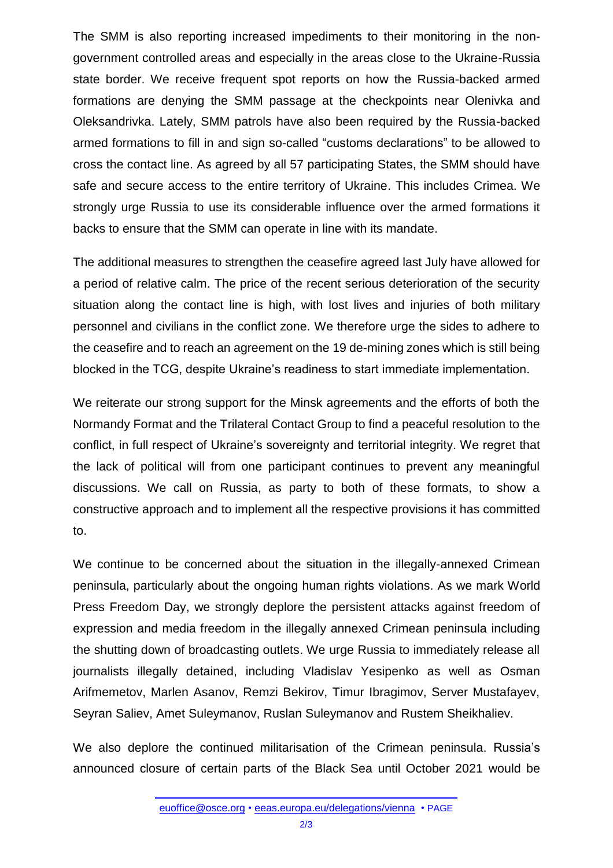The SMM is also reporting increased impediments to their monitoring in the nongovernment controlled areas and especially in the areas close to the Ukraine-Russia state border. We receive frequent spot reports on how the Russia-backed armed formations are denying the SMM passage at the checkpoints near Olenivka and Oleksandrivka. Lately, SMM patrols have also been required by the Russia-backed armed formations to fill in and sign so-called "customs declarations" to be allowed to cross the contact line. As agreed by all 57 participating States, the SMM should have safe and secure access to the entire territory of Ukraine. This includes Crimea. We strongly urge Russia to use its considerable influence over the armed formations it backs to ensure that the SMM can operate in line with its mandate.

The additional measures to strengthen the ceasefire agreed last July have allowed for a period of relative calm. The price of the recent serious deterioration of the security situation along the contact line is high, with lost lives and injuries of both military personnel and civilians in the conflict zone. We therefore urge the sides to adhere to the ceasefire and to reach an agreement on the 19 de-mining zones which is still being blocked in the TCG, despite Ukraine's readiness to start immediate implementation.

We reiterate our strong support for the Minsk agreements and the efforts of both the Normandy Format and the Trilateral Contact Group to find a peaceful resolution to the conflict, in full respect of Ukraine's sovereignty and territorial integrity. We regret that the lack of political will from one participant continues to prevent any meaningful discussions. We call on Russia, as party to both of these formats, to show a constructive approach and to implement all the respective provisions it has committed to.

We continue to be concerned about the situation in the illegally-annexed Crimean peninsula, particularly about the ongoing human rights violations. As we mark World Press Freedom Day, we strongly deplore the persistent attacks against freedom of expression and media freedom in the illegally annexed Crimean peninsula including the shutting down of broadcasting outlets. We urge Russia to immediately release all journalists illegally detained, including Vladislav Yesipenko as well as Osman Arifmemetov, Marlen Asanov, Remzi Bekirov, Timur Ibragimov, Server Mustafayev, Seyran Saliev, Amet Suleymanov, Ruslan Suleymanov and Rustem Sheikhaliev.

We also deplore the continued militarisation of the Crimean peninsula. Russia's announced closure of certain parts of the Black Sea until October 2021 would be